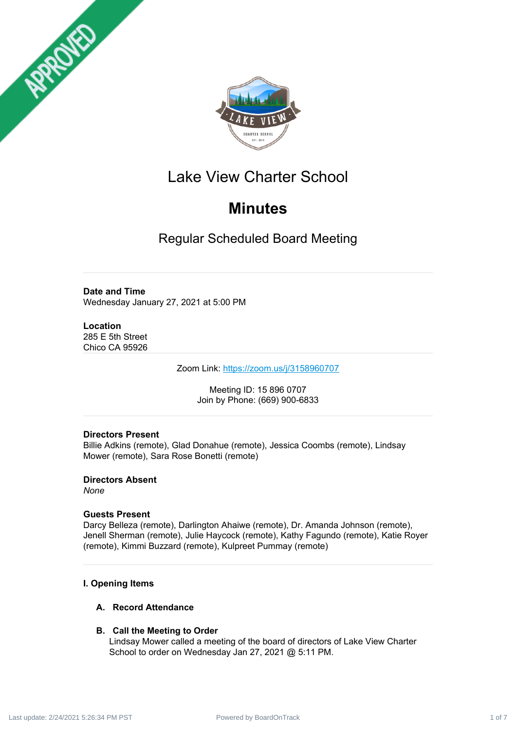



# Lake View Charter School

# **Minutes**

Regular Scheduled Board Meeting

## **Date and Time**

Wednesday January 27, 2021 at 5:00 PM

# **Location**

285 E 5th Street Chico CA 95926

Zoom Link: <https://zoom.us/j/3158960707>

Meeting ID: 15 896 0707 Join by Phone: (669) 900-6833

# **Directors Present**

Billie Adkins (remote), Glad Donahue (remote), Jessica Coombs (remote), Lindsay Mower (remote), Sara Rose Bonetti (remote)

**Directors Absent** *None*

## **Guests Present**

Darcy Belleza (remote), Darlington Ahaiwe (remote), Dr. Amanda Johnson (remote), Jenell Sherman (remote), Julie Haycock (remote), Kathy Fagundo (remote), Katie Royer (remote), Kimmi Buzzard (remote), Kulpreet Pummay (remote)

# **I. Opening Items**

# **A. Record Attendance**

# **B. Call the Meeting to Order**

Lindsay Mower called a meeting of the board of directors of Lake View Charter School to order on Wednesday Jan 27, 2021 @ 5:11 PM.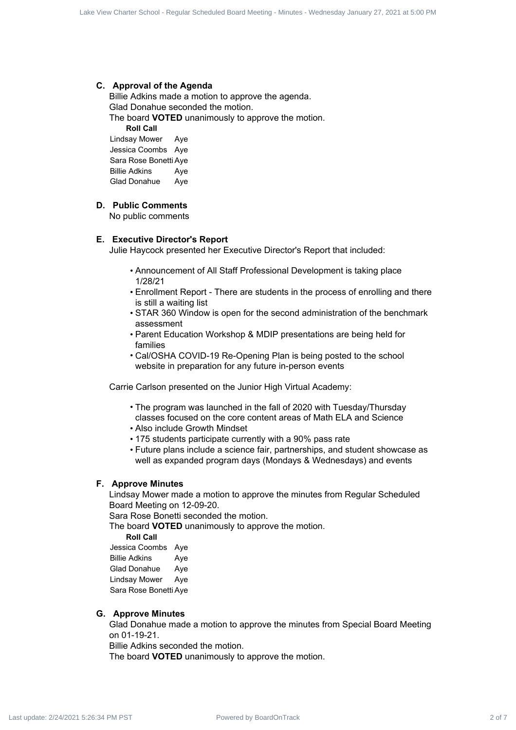#### **C. Approval of the Agenda**

Billie Adkins made a motion to approve the agenda. Glad Donahue seconded the motion. The board **VOTED** unanimously to approve the motion. **Roll Call** Contract 2 of  $\alpha$  Contract 2 of 7 Lake View Charter School - Regular Schedule Board 2 of 7 Lake View Charter School - Regular Schedule Board 2 of 7 Lake View Charter School - Regular Schedule Board 2 of 7 Lake View Chart

Lindsay Mower Aye Jessica Coombs Aye Sara Rose Bonetti Aye Billie Adkins Aye Glad Donahue Aye

## **D. Public Comments**

No public comments

#### **E. Executive Director's Report**

Julie Haycock presented her Executive Director's Report that included:

- Announcement of All Staff Professional Development is taking place 1/28/21
- Enrollment Report There are students in the process of enrolling and there is still a waiting list
- STAR 360 Window is open for the second administration of the benchmark assessment
- Parent Education Workshop & MDIP presentations are being held for families
- Cal/OSHA COVID-19 Re-Opening Plan is being posted to the school website in preparation for any future in-person events

Carrie Carlson presented on the Junior High Virtual Academy:

- The program was launched in the fall of 2020 with Tuesday/Thursday classes focused on the core content areas of Math ELA and Science
- Also include Growth Mindset
- 175 students participate currently with a 90% pass rate
- Future plans include a science fair, partnerships, and student showcase as well as expanded program days (Mondays & Wednesdays) and events

#### **F. Approve Minutes**

Lindsay Mower made a motion to approve the minutes from Regular Scheduled Board Meeting on 12-09-20.

Sara Rose Bonetti seconded the motion.

The board **VOTED** unanimously to approve the motion.

**Roll Call** Jessica Coombs Aye

Billie Adkins Aye Glad Donahue Aye Lindsay Mower Aye Sara Rose Bonetti Aye

#### **G. Approve Minutes**

Glad Donahue made a motion to approve the minutes from Special Board Meeting on 01-19-21.

Billie Adkins seconded the motion.

The board **VOTED** unanimously to approve the motion.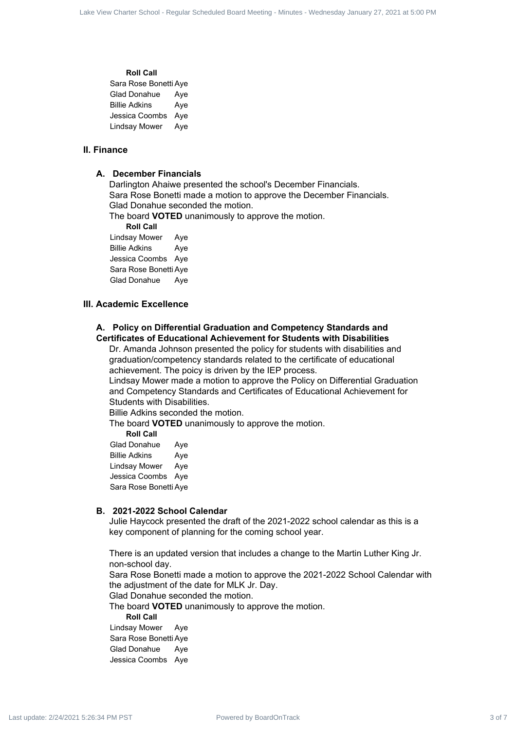#### **Roll Call**

| Sara Rose Bonetti Aye |     |
|-----------------------|-----|
| <b>Glad Donahue</b>   | Aye |
| <b>Billie Adkins</b>  | Aye |
| Jessica Coombs        | Aye |
| <b>Lindsay Mower</b>  | Aye |

#### **II. Finance**

#### **A. December Financials**

Darlington Ahaiwe presented the school's December Financials. Sara Rose Bonetti made a motion to approve the December Financials. Glad Donahue seconded the motion.

The board **VOTED** unanimously to approve the motion.

**Roll Call**

Lindsay Mower Aye Billie Adkins Aye Jessica Coombs Aye Sara Rose Bonetti Aye Glad Donahue Aye

#### **III. Academic Excellence**

#### **A. Policy on Differential Graduation and Competency Standards and Certificates of Educational Achievement for Students with Disabilities**

Dr. Amanda Johnson presented the policy for students with disabilities and graduation/competency standards related to the certificate of educational achievement. The poicy is driven by the IEP process.

Lindsay Mower made a motion to approve the Policy on Differential Graduation and Competency Standards and Certificates of Educational Achievement for Students with Disabilities. Last view Charter Schedule d Scheduled Board - Regular Scheduled Board - Regular Scheduled Board - Regular Scheduled Board - Regular Scheduled Board - Wednesday January 27, 2021 at 5:00 PM Last update: 2/24/2021 5:24:34 P

Billie Adkins seconded the motion.

The board **VOTED** unanimously to approve the motion.

**Roll Call**

Glad Donahue Aye Billie Adkins Aye Lindsay Mower Aye Jessica Coombs Aye Sara Rose Bonetti Aye

#### **B. 2021-2022 School Calendar**

Julie Haycock presented the draft of the 2021-2022 school calendar as this is a key component of planning for the coming school year.

There is an updated version that includes a change to the Martin Luther King Jr. non-school day.

Sara Rose Bonetti made a motion to approve the 2021-2022 School Calendar with the adjustment of the date for MLK Jr. Day.

Glad Donahue seconded the motion.

The board **VOTED** unanimously to approve the motion.

**Roll Call**

Lindsay Mower Aye Sara Rose Bonetti Aye Glad Donahue Aye Jessica Coombs Aye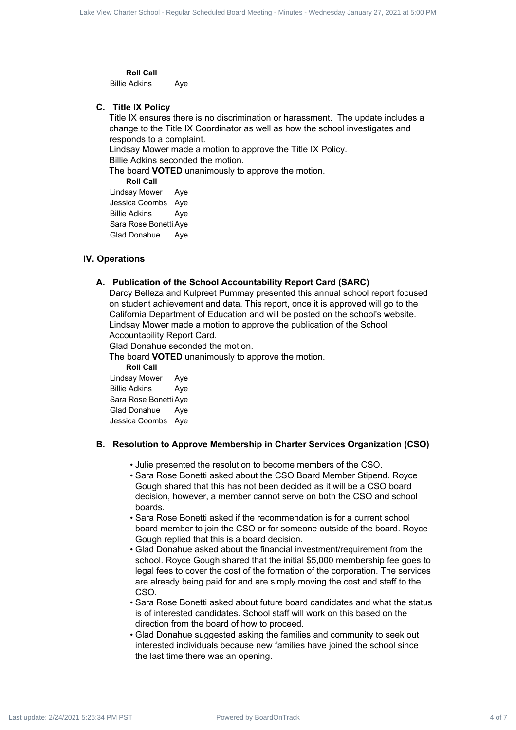**Roll Call** Billie Adkins Aye

#### **C. Title IX Policy**

Title IX ensures there is no discrimination or harassment. The update includes a change to the Title IX Coordinator as well as how the school investigates and responds to a complaint.

Lindsay Mower made a motion to approve the Title IX Policy.

Billie Adkins seconded the motion.

The board **VOTED** unanimously to approve the motion.

**Roll Call**

Lindsay Mower Aye Jessica Coombs Aye Billie Adkins Aye Sara Rose Bonetti Aye Glad Donahue Aye

#### **IV. Operations**

#### **A. Publication of the School Accountability Report Card (SARC)**

Darcy Belleza and Kulpreet Pummay presented this annual school report focused on student achievement and data. This report, once it is approved will go to the California Department of Education and will be posted on the school's website. Lindsay Mower made a motion to approve the publication of the School Accountability Report Card. Last was durated from the strained from the strained with the strained Board Meeting - Regular Charter School - Regular Scheduled Board Meeting - The Minutes of 7 Lake View Charter Schedule Board Meeting - Wednesday Janua

Glad Donahue seconded the motion.

The board **VOTED** unanimously to approve the motion.

**Roll Call**

Lindsay Mower Aye Billie Adkins Aye Sara Rose Bonetti Aye Glad Donahue Aye Jessica Coombs Aye

#### **B. Resolution to Approve Membership in Charter Services Organization (CSO)**

- Julie presented the resolution to become members of the CSO.
- Sara Rose Bonetti asked about the CSO Board Member Stipend. Royce Gough shared that this has not been decided as it will be a CSO board decision, however, a member cannot serve on both the CSO and school boards.
- Sara Rose Bonetti asked if the recommendation is for a current school board member to join the CSO or for someone outside of the board. Royce Gough replied that this is a board decision.
- Glad Donahue asked about the financial investment/requirement from the school. Royce Gough shared that the initial \$5,000 membership fee goes to legal fees to cover the cost of the formation of the corporation. The services are already being paid for and are simply moving the cost and staff to the CSO.
- Sara Rose Bonetti asked about future board candidates and what the status is of interested candidates. School staff will work on this based on the direction from the board of how to proceed.
- Glad Donahue suggested asking the families and community to seek out interested individuals because new families have joined the school since the last time there was an opening.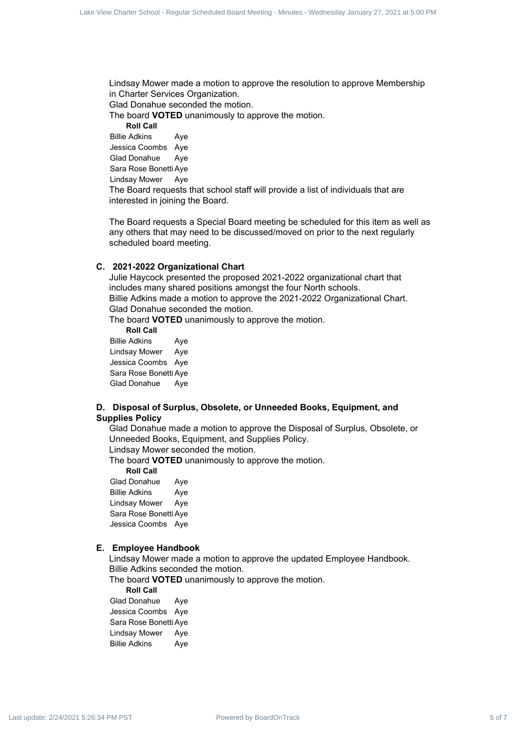Lindsay Mower made a motion to approve the resolution to approve Membership in Charter Services Organization.

Glad Donahue seconded the motion.

The board **VOTED** unanimously to approve the motion.

**Roll Call**

Billie Adkins Aye

Jessica Coombs Aye Glad Donahue Aye

Sara Rose Bonetti Aye

Lindsay Mower Aye

The Board requests that school staff will provide a list of individuals that are interested in joining the Board.

The Board requests a Special Board meeting be scheduled for this item as well as any others that may need to be discussed/moved on prior to the next regularly scheduled board meeting.

#### **C. 2021-2022 Organizational Chart**

Julie Haycock presented the proposed 2021-2022 organizational chart that includes many shared positions amongst the four North schools. Billie Adkins made a motion to approve the 2021-2022 Organizational Chart. Glad Donahue seconded the motion. Last view Charter School - Regular School - Regular Scheduled Board Meeting - Regular Scheduled Board Meeting - Regular Scheduled Board Meeting - Regular Scheduled Board Meeting - Regular Scheduled Board Meeting - Regular

The board **VOTED** unanimously to approve the motion.

**Roll Call** Billie Adkins Aye Lindsay Mower Aye Jessica Coombs Aye

Sara Rose Bonetti Aye Glad Donahue Aye

#### **D. Disposal of Surplus, Obsolete, or Unneeded Books, Equipment, and Supplies Policy**

Glad Donahue made a motion to approve the Disposal of Surplus, Obsolete, or Unneeded Books, Equipment, and Supplies Policy.

Lindsay Mower seconded the motion.

The board **VOTED** unanimously to approve the motion.

**Roll Call** Glad Donahue Aye Billie Adkins Aye Lindsay Mower Aye Sara Rose Bonetti Aye Jessica Coombs Aye

### **E. Employee Handbook**

Lindsay Mower made a motion to approve the updated Employee Handbook. Billie Adkins seconded the motion.

The board **VOTED** unanimously to approve the motion.

**Roll Call**

Glad Donahue Aye Jessica Coombs Aye Sara Rose Bonetti Aye Lindsay Mower Aye Billie Adkins Aye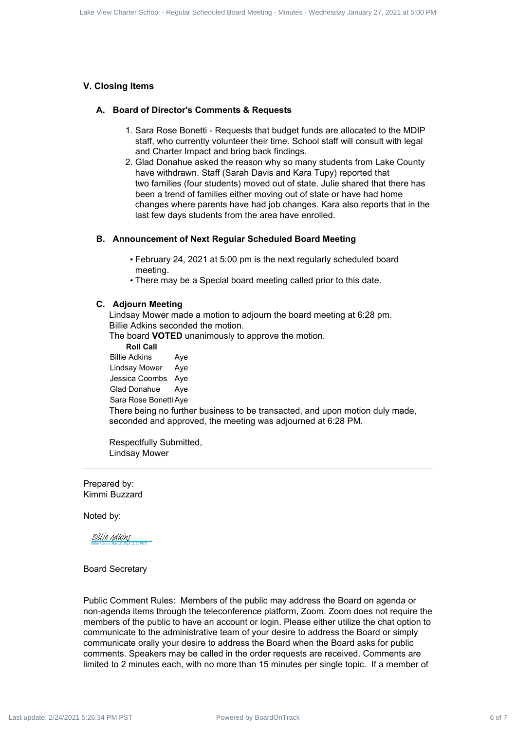#### **V. Closing Items**

#### **A. Board of Director's Comments & Requests**

- 1. Sara Rose Bonetti Requests that budget funds are allocated to the MDIP staff, who currently volunteer their time. School staff will consult with legal and Charter Impact and bring back findings.
- 2. Glad Donahue asked the reason why so many students from Lake County have withdrawn. Staff (Sarah Davis and Kara Tupy) reported that two families (four students) moved out of state. Julie shared that there has been a trend of families either moving out of state or have had home changes where parents have had job changes. Kara also reports that in the last few days students from the area have enrolled.

#### **B. Announcement of Next Regular Scheduled Board Meeting**

- February 24, 2021 at 5:00 pm is the next regularly scheduled board meeting.
- There may be a Special board meeting called prior to this date.

#### **C. Adjourn Meeting**

Lindsay Mower made a motion to adjourn the board meeting at 6:28 pm. Billie Adkins seconded the motion.

The board **VOTED** unanimously to approve the motion.

**Roll Call** Billie Adkins Aye Lindsay Mower Aye Jessica Coombs Aye Glad Donahue Aye Sara Rose Bonetti Aye There being no further business to be transacted, and upon motion duly made, seconded and approved, the meeting was adjourned at 6:28 PM.

Respectfully Submitted, Lindsay Mower

Prepared by: Kimmi Buzzard

Noted by:

Billie Adkins (Mar 15, 2021 11:00 PDT) [Billie Adkins](https://na1.documents.adobe.com/verifier?tx=CBJCHBCAABAAqRabOoRxrp4PEVwbA9oWPQw1lm0DGZeM)

#### Board Secretary

Public Comment Rules: Members of the public may address the Board on agenda or non-agenda items through the teleconference platform, Zoom. Zoom does not require the members of the public to have an account or login. Please either utilize the chat option to communicate to the administrative team of your desire to address the Board or simply communicate orally your desire to address the Board when the Board asks for public comments. Speakers may be called in the order requests are received. Comments are limited to 2 minutes each, with no more than 15 minutes per single topic. If a member of Last was determined by Board Charter School - Regular Scheduled Board Charter Schedule Board Charter School - Regular Schedule Board Charter Schedule Board Charter Schedule Board Charter Schedule Board Charter Schedule Bo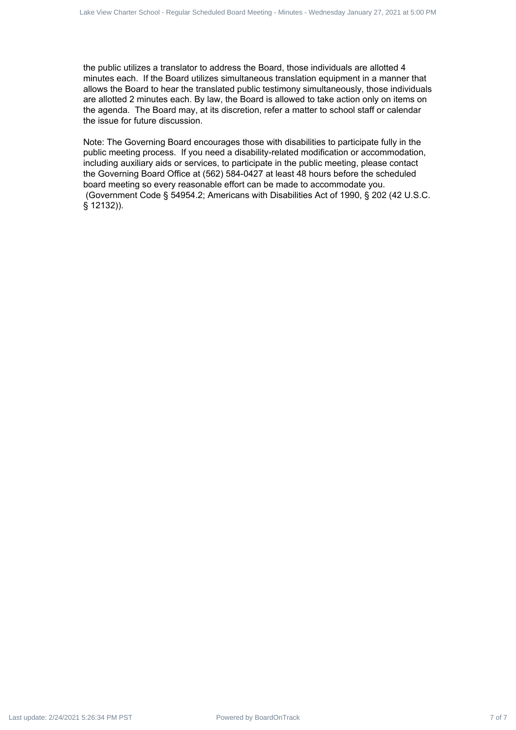the public utilizes a translator to address the Board, those individuals are allotted 4 minutes each. If the Board utilizes simultaneous translation equipment in a manner that allows the Board to hear the translated public testimony simultaneously, those individuals are allotted 2 minutes each. By law, the Board is allowed to take action only on items on the agenda. The Board may, at its discretion, refer a matter to school staff or calendar the issue for future discussion.

Note: The Governing Board encourages those with disabilities to participate fully in the public meeting process. If you need a disability-related modification or accommodation, including auxiliary aids or services, to participate in the public meeting, please contact the Governing Board Office at (562) 584-0427 at least 48 hours before the scheduled board meeting so every reasonable effort can be made to accommodate you. (Government Code § 54954.2; Americans with Disabilities Act of 1990, § 202 (42 U.S.C. § 12132)). Lake You Crack Tabour School - Regular School - Regular School - Regular Scheduled Board Meeting - Regular School - Regular Schedule and Control - Regular Schedule And Control - Regular Schedule Schedule And Control - Reg